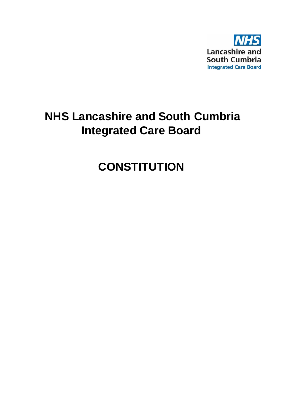

# **NHS Lancashire and South Cumbria Integrated Care Board**

# **CONSTITUTION**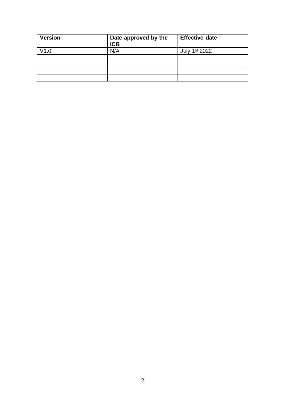| <b>Version</b> | Date approved by the<br><b>ICB</b> | <b>Effective date</b>        |
|----------------|------------------------------------|------------------------------|
| $\sqrt{1.0}$   | N/A                                | 1 <sup>st</sup> 2022<br>July |
|                |                                    |                              |
|                |                                    |                              |
|                |                                    |                              |
|                |                                    |                              |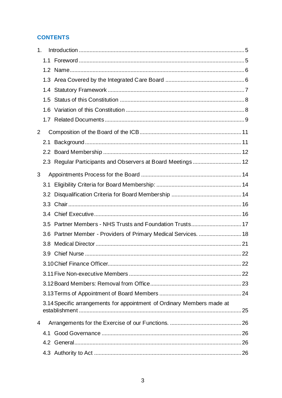### **CONTENTS**

| 1.             |     |                                                                        |  |
|----------------|-----|------------------------------------------------------------------------|--|
|                |     |                                                                        |  |
|                |     |                                                                        |  |
|                |     |                                                                        |  |
|                | 1.4 |                                                                        |  |
|                | 1.5 |                                                                        |  |
|                | 1.6 |                                                                        |  |
|                |     |                                                                        |  |
| $\overline{2}$ |     |                                                                        |  |
|                | 2.1 |                                                                        |  |
|                |     |                                                                        |  |
|                |     | 2.3 Regular Participants and Observers at Board Meetings 12            |  |
| 3              |     |                                                                        |  |
|                | 3.1 |                                                                        |  |
|                | 3.2 |                                                                        |  |
|                |     |                                                                        |  |
|                |     |                                                                        |  |
|                | 3.5 |                                                                        |  |
|                | 3.6 | Partner Member - Providers of Primary Medical Services.  18            |  |
|                | 3.8 |                                                                        |  |
|                |     |                                                                        |  |
|                |     |                                                                        |  |
|                |     |                                                                        |  |
|                |     |                                                                        |  |
|                |     |                                                                        |  |
|                |     | 3.14 Specific arrangements for appointment of Ordinary Members made at |  |
| 4              |     |                                                                        |  |
|                | 4.1 |                                                                        |  |
|                |     |                                                                        |  |
|                |     |                                                                        |  |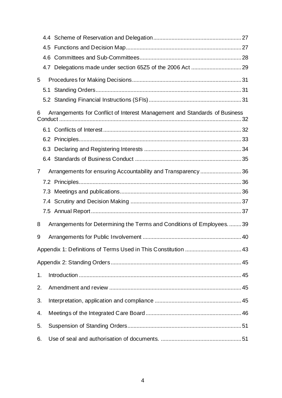| 4.6            |                                                                            |  |  |
|----------------|----------------------------------------------------------------------------|--|--|
|                |                                                                            |  |  |
| 5              |                                                                            |  |  |
|                | 5.1                                                                        |  |  |
|                |                                                                            |  |  |
| 6              | Arrangements for Conflict of Interest Management and Standards of Business |  |  |
|                |                                                                            |  |  |
|                |                                                                            |  |  |
|                |                                                                            |  |  |
|                |                                                                            |  |  |
| $\overline{7}$ | Arrangements for ensuring Accountability and Transparency 36               |  |  |
|                |                                                                            |  |  |
|                |                                                                            |  |  |
|                |                                                                            |  |  |
|                |                                                                            |  |  |
| 8              | Arrangements for Determining the Terms and Conditions of Employees39       |  |  |
| 9              |                                                                            |  |  |
|                |                                                                            |  |  |
|                |                                                                            |  |  |
| 1.             |                                                                            |  |  |
| 2.             |                                                                            |  |  |
| 3.             |                                                                            |  |  |
| 4.             |                                                                            |  |  |
| 5.             |                                                                            |  |  |
| 6.             |                                                                            |  |  |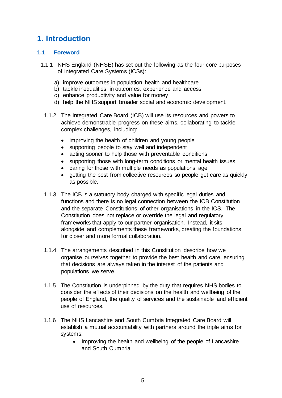# <span id="page-4-0"></span>**1. Introduction**

#### <span id="page-4-1"></span>**1.1 Foreword**

- 1.1.1 NHS England (NHSE) has set out the following as the four core purposes of Integrated Care Systems (ICSs):
	- a) improve outcomes in population health and healthcare
	- b) tackle inequalities in outcomes, experience and access
	- c) enhance productivity and value for money
	- d) help the NHS support broader social and economic development.
	- 1.1.2 The Integrated Care Board (ICB) will use its resources and powers to achieve demonstrable progress on these aims, collaborating to tackle complex challenges, including:
		- improving the health of children and young people
		- supporting people to stay well and independent
		- acting sooner to help those with preventable conditions
		- supporting those with long-term conditions or mental health issues
		- caring for those with multiple needs as populations age
		- getting the best from collective resources so people get care as quickly as possible.
	- 1.1.3 The ICB is a statutory body charged with specific legal duties and functions and there is no legal connection between the ICB Constitution and the separate Constitutions of other organisations in the ICS. The Constitution does not replace or override the legal and regulatory frameworks that apply to our partner organisation. Instead, it sits alongside and complements these frameworks, creating the foundations for closer and more formal collaboration.
	- 1.1.4 The arrangements described in this Constitution describe how we organise ourselves together to provide the best health and care, ensuring that decisions are always taken in the interest of the patients and populations we serve.
	- 1.1.5 The Constitution is underpinned by the duty that requires NHS bodies to consider the effects of their decisions on the health and wellbeing of the people of England, the quality of services and the sustainable and efficient use of resources.
	- 1.1.6 The NHS Lancashire and South Cumbria Integrated Care Board will establish a mutual accountability with partners around the triple aims for systems:
		- Improving the health and wellbeing of the people of Lancashire and South Cumbria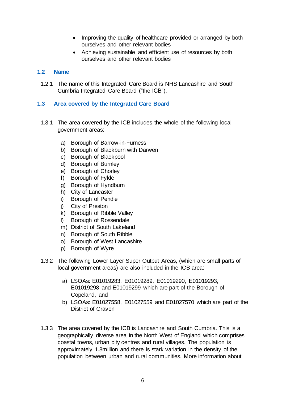- Improving the quality of healthcare provided or arranged by both ourselves and other relevant bodies
- Achieving sustainable and efficient use of resources by both ourselves and other relevant bodies

#### <span id="page-5-0"></span>**1.2 Name**

1.2.1 The name of this Integrated Care Board is NHS Lancashire and South Cumbria Integrated Care Board ("the ICB").

#### <span id="page-5-1"></span>**1.3 Area covered by the Integrated Care Board**

- 1.3.1 The area covered by the ICB includes the whole of the following local government areas:
	- a) Borough of Barrow-in-Furness
	- b) Borough of Blackburn with Darwen
	- c) Borough of Blackpool
	- d) Borough of Burnley
	- e) Borough of Chorley
	- f) Borough of Fylde
	- g) Borough of Hyndburn
	- h) City of Lancaster
	- i) Borough of Pendle
	- j) City of Preston
	- k) Borough of Ribble Valley
	- l) Borough of Rossendale
	- m) District of South Lakeland
	- n) Borough of South Ribble
	- o) Borough of West Lancashire
	- p) Borough of Wyre
- 1.3.2 The following Lower Layer Super Output Areas, (which are small parts of local government areas) are also included in the ICB area:
	- a) LSOAs: E01019283, E01019289, E01019290, E01019293, E01019298 and E01019299 which are part of the Borough of Copeland, and
	- b) LSOAs: E01027558, E01027559 and E01027570 which are part of the District of Craven
- 1.3.3 The area covered by the ICB is Lancashire and South Cumbria. This is a geographically diverse area in the North West of England which comprises coastal towns, urban city centres and rural villages. The population is approximately 1.8million and there is stark variation in the density of the population between urban and rural communities. More information about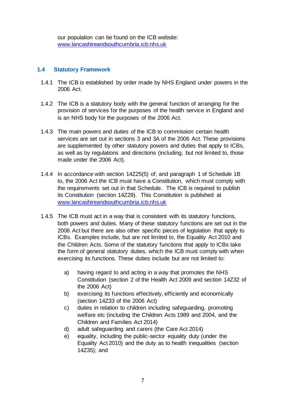our population can be found on the ICB website: [www.lancashireandsouthcumbria.icb.nhs.uk](http://www.lancashireandsouthcumbria.icb.nhs.uk/)

#### <span id="page-6-0"></span>**1.4 Statutory Framework**

- 1.4.1 The ICB is established by order made by NHS England under powers in the 2006 Act.
- 1.4.2 The ICB is a statutory body with the general function of arranging for the provision of services for the purposes of the health service in England and is an NHS body for the purposes of the 2006 Act.
- 1.4.3 The main powers and duties of the ICB to commission certain health services are set out in sections 3 and 3A of the 2006 Act. These provisions are supplemented by other statutory powers and duties that apply to ICBs, as well as by regulations and directions (including, but not limited to, those made under the 2006 Act).
- 1.4.4 In accordance with section 14Z25(5) of, and paragraph 1 of Schedule 1B to, the 2006 Act the ICB must have a Constitution, which must comply with the requirements set out in that Schedule. The ICB is required to publish its Constitution (section 14Z29). This Constitution is published at [www.lancashireandsouthcumbria.icb.nhs.uk](http://www.lancashireandsouthcumbria.icb.nhs.uk/)
- 1.4.5 The ICB must act in a way that is consistent with its statutory functions, both powers and duties. Many of these statutory functions are set out in the 2006 Act but there are also other specific pieces of legislation that apply to ICBs. Examples include, but are not limited to, the Equality Act 2010 and the Children Acts. Some of the statutory functions that apply to ICBs take the form of general statutory duties, which the ICB must comply with when exercising its functions. These duties include but are not limited to:
	- a) having regard to and acting in a way that promotes the NHS Constitution (section 2 of the Health Act 2009 and section 14Z32 of the 2006 Act)
	- b) exercising its functions effectively, efficiently and economically (section 14Z33 of the 2006 Act)
	- c) duties in relation to children including safeguarding, promoting welfare etc (including the Children Acts 1989 and 2004, and the Children and Families Act 2014)
	- d) adult safeguarding and carers (the Care Act 2014)
	- e) equality, including the public-sector equality duty (under the Equality Act 2010) and the duty as to health inequalities (section 14Z35); and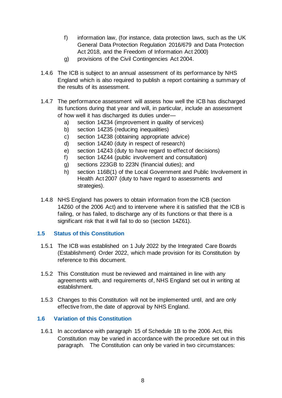- f) information law, (for instance, data protection laws, such as the UK General Data Protection Regulation 2016/679 and Data Protection Act 2018, and the Freedom of Information Act 2000)
- g) provisions of the Civil Contingencies Act 2004.
- 1.4.6 The ICB is subject to an annual assessment of its performance by NHS England which is also required to publish a report containing a summary of the results of its assessment.
- 1.4.7 The performance assessment will assess how well the ICB has discharged its functions during that year and will, in particular, include an assessment of how well it has discharged its duties under
	- a) section 14Z34 (improvement in quality of services)
	- b) section 14Z35 (reducing inequalities)
	- c) section 14Z38 (obtaining appropriate advice)
	- d) section 14Z40 (duty in respect of research)
	- e) section 14Z43 (duty to have regard to effect of decisions)
	- f) section 14Z44 (public involvement and consultation)
	- g) sections 223GB to 223N (financial duties); and
	- h) section 116B(1) of the Local Government and Public Involvement in Health Act 2007 (duty to have regard to assessments and strategies).
- 1.4.8 NHS England has powers to obtain information from the ICB (section 14Z60 of the 2006 Act) and to intervene where it is satisfied that the ICB is failing, or has failed, to discharge any of its functions or that there is a significant risk that it will fail to do so (section 14Z61).

#### <span id="page-7-0"></span>**1.5 Status of this Constitution**

- 1.5.1 The ICB was established on 1 July 2022 by the Integrated Care Boards (Establishment) Order 2022, which made provision for its Constitution by reference to this document.
- 1.5.2 This Constitution must be reviewed and maintained in line with any agreements with, and requirements of, NHS England set out in writing at establishment.
- 1.5.3 Changes to this Constitution will not be implemented until, and are only effective from, the date of approval by NHS England.

#### <span id="page-7-1"></span>**1.6 Variation of this Constitution**

1.6.1 In accordance with paragraph 15 of Schedule 1B to the 2006 Act, this Constitution may be varied in accordance with the procedure set out in this paragraph. The Constitution can only be varied in two circumstances: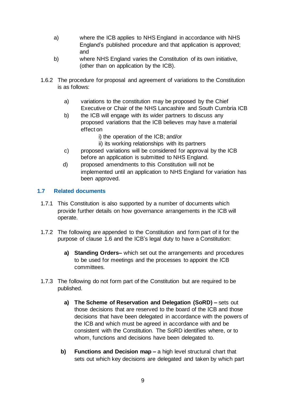- a) where the ICB applies to NHS England in accordance with NHS England's published procedure and that application is approved; and
- b) where NHS England varies the Constitution of its own initiative, (other than on application by the ICB).
- 1.6.2 The procedure for proposal and agreement of variations to the Constitution is as follows:
	- a) variations to the constitution may be proposed by the Chief Executive or Chair of the NHS Lancashire and South Cumbria ICB
	- b) the ICB will engage with its wider partners to discuss any proposed variations that the ICB believes may have a material effect on
		- i) the operation of the ICB; and/or
		- ii) its working relationships with its partners
	- c) proposed variations will be considered for approval by the ICB before an application is submitted to NHS England.
	- d) proposed amendments to this Constitution will not be implemented until an application to NHS England for variation has been approved.

#### <span id="page-8-0"></span>**1.7 Related documents**

- 1.7.1 This Constitution is also supported by a number of documents which provide further details on how governance arrangements in the ICB will operate.
- 1.7.2 The following are appended to the Constitution and form part of it for the purpose of clause 1.6 and the ICB's legal duty to have a Constitution:
	- **a) Standing Orders–** which set out the arrangements and procedures to be used for meetings and the processes to appoint the ICB committees.
- 1.7.3 The following do not form part of the Constitution but are required to be published.
	- **a) The Scheme of Reservation and Delegation (SoRD) –** sets out those decisions that are reserved to the board of the ICB and those decisions that have been delegated in accordance with the powers of the ICB and which must be agreed in accordance with and be consistent with the Constitution. The SoRD identifies where, or to whom, functions and decisions have been delegated to.
	- **b) Functions and Decision map –** a high level structural chart that sets out which key decisions are delegated and taken by which part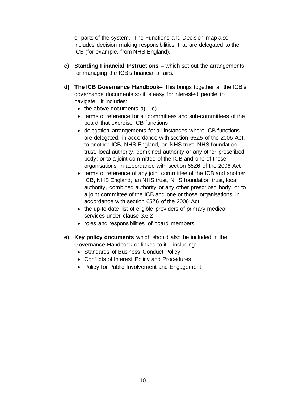or parts of the system. The Functions and Decision map also includes decision making responsibilities that are delegated to the ICB (for example, from NHS England).

- **c) Standing Financial Instructions –** which set out the arrangements for managing the ICB's financial affairs.
- **d) The ICB Governance Handbook–** This brings together all the ICB's governance documents so it is easy for interested people to navigate. It includes:
	- the above documents  $a(-c)$
	- terms of reference for all committees and sub-committees of the board that exercise ICB functions
	- delegation arrangements for all instances where ICB functions are delegated, in accordance with section 65Z5 of the 2006 Act, to another ICB, NHS England, an NHS trust, NHS foundation trust, local authority, combined authority or any other prescribed body; or to a joint committee of the ICB and one of those organisations in accordance with section 65Z6 of the 2006 Act
	- terms of reference of any joint committee of the ICB and another ICB, NHS England, an NHS trust, NHS foundation trust, local authority, combined authority or any other prescribed body; or to a joint committee of the ICB and one or those organisations in accordance with section 65Z6 of the 2006 Act
	- the up-to-date list of eligible providers of primary medical services under clause 3.6.2
	- roles and responsibilities of board members.
- **e) Key policy documents** which should also be included in the Governance Handbook or linked to it **–** including:
	- Standards of Business Conduct Policy
	- Conflicts of Interest Policy and Procedures
	- Policy for Public Involvement and Engagement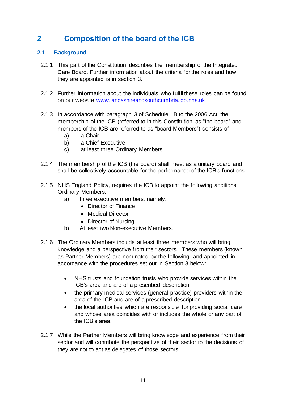# <span id="page-10-0"></span>**2 Composition of the board of the ICB**

#### <span id="page-10-1"></span>**2.1 Background**

- 2.1.1 This part of the Constitution describes the membership of the Integrated Care Board. Further information about the criteria for the roles and how they are appointed is in section 3.
- 2.1.2 Further information about the individuals who fulfil these roles can be found on our website [www.lancashireandsouthcumbria.icb.nhs.uk](http://www.lancashireandsouthcumbria.icb.nhs.uk/)
- 2.1.3 In accordance with paragraph 3 of Schedule 1B to the 2006 Act, the membership of the ICB (referred to in this Constitution as "the board" and members of the ICB are referred to as "board Members") consists of:
	- a) a Chair
	- b) a Chief Executive
	- c) at least three Ordinary Members
- 2.1.4 The membership of the ICB (the board) shall meet as a unitary board and shall be collectively accountable for the performance of the ICB's functions.
- 2.1.5 NHS England Policy, requires the ICB to appoint the following additional Ordinary Members:
	- a) three executive members, namely:
		- Director of Finance
		- Medical Director
		- Director of Nursing
	- b) At least two Non-executive Members.
- 2.1.6 The Ordinary Members include at least three members who will bring knowledge and a perspective from their sectors. These members (known as Partner Members) are nominated by the following, and appointed in accordance with the procedures set out in Section 3 below**:**
	- NHS trusts and foundation trusts who provide services within the ICB's area and are of a prescribed description
	- the primary medical services (general practice) providers within the area of the ICB and are of a prescribed description
	- the local authorities which are responsible for providing social care and whose area coincides with or includes the whole or any part of the ICB's area.
- 2.1.7 While the Partner Members will bring knowledge and experience from their sector and will contribute the perspective of their sector to the decisions of, they are not to act as delegates of those sectors.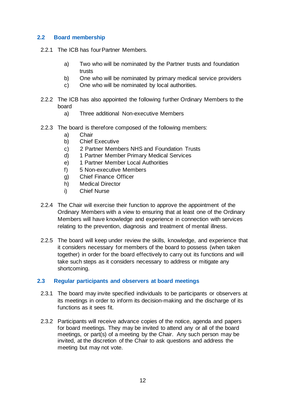#### <span id="page-11-0"></span>**2.2 Board membership**

- 2.2.1 The ICB has four Partner Members.
	- a) Two who will be nominated by the Partner trusts and foundation trusts
	- b) One who will be nominated by primary medical service providers
	- c) One who will be nominated by local authorities.
- 2.2.2 The ICB has also appointed the following further Ordinary Members to the board
	- a) Three additional Non-executive Members
- 2.2.3 The board is therefore composed of the following members:
	- a) Chair
	- b) Chief Executive
	- c) 2 Partner Members NHS and Foundation Trusts
	- d) 1 Partner Member Primary Medical Services
	- e) 1 Partner Member Local Authorities
	- f) 5 Non-executive Members
	- g) Chief Finance Officer
	- h) Medical Director
	- i) Chief Nurse
- 2.2.4 The Chair will exercise their function to approve the appointment of the Ordinary Members with a view to ensuring that at least one of the Ordinary Members will have knowledge and experience in connection with services relating to the prevention, diagnosis and treatment of mental illness.
- 2.2.5 The board will keep under review the skills, knowledge, and experience that it considers necessary for members of the board to possess (when taken together) in order for the board effectively to carry out its functions and will take such steps as it considers necessary to address or mitigate any shortcoming.

#### <span id="page-11-1"></span>**2.3 Regular participants and observers at board meetings**

- 2.3.1 The board may invite specified individuals to be participants or observers at its meetings in order to inform its decision-making and the discharge of its functions as it sees fit.
- 2.3.2 Participants will receive advance copies of the notice, agenda and papers for board meetings. They may be invited to attend any or all of the board meetings, or part(s) of a meeting by the Chair. Any such person may be invited, at the discretion of the Chair to ask questions and address the meeting but may not vote.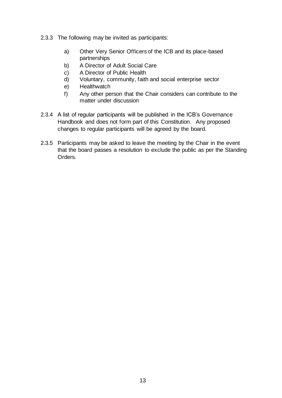- 2.3.3 The following may be invited as participants:
	- a) Other Very Senior Officers of the ICB and its place-based partnerships
	- b) A Director of Adult Social Care
	- c) A Director of Public Health
	- d) Voluntary, community, faith and social enterprise sector
	- e) Healthwatch
	- f) Any other person that the Chair considers can contribute to the matter under discussion
- 2.3.4 A list of regular participants will be published in the ICB's Governance Handbook and does not form part of this Constitution. Any proposed changes to regular participants will be agreed by the board.
- 2.3.5 Participants may be asked to leave the meeting by the Chair in the event that the board passes a resolution to exclude the public as per the Standing Orders.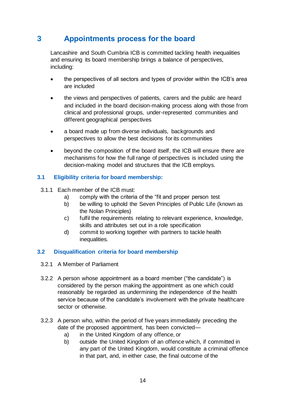# <span id="page-13-0"></span>**3 Appointments process for the board**

Lancashire and South Cumbria ICB is committed tackling health inequalities and ensuring its board membership brings a balance of perspectives, including:

- the perspectives of all sectors and types of provider within the ICB's area are included
- the views and perspectives of patients, carers and the public are heard and included in the board decision-making process along with those from clinical and professional groups, under-represented communities and different geographical perspectives
- a board made up from diverse individuals, backgrounds and perspectives to allow the best decisions for its communities
- beyond the composition of the board itself, the ICB will ensure there are mechanisms for how the full range of perspectives is included using the decision-making model and structures that the ICB employs.

#### <span id="page-13-1"></span>**3.1 Eligibility criteria for board membership:**

- 3.1.1 Each member of the ICB must:
	- a) comply with the criteria of the "fit and proper person test
	- b) be willing to uphold the Seven Principles of Public Life (known as the Nolan Principles)
	- c) fulfil the requirements relating to relevant experience, knowledge, skills and attributes set out in a role specification
	- d) commit to working together with partners to tackle health inequalities.

#### <span id="page-13-2"></span>**3.2 Disqualification criteria for board membership**

- 3.2.1 A Member of Parliament
- 3.2.2 A person whose appointment as a board member ("the candidate") is considered by the person making the appointment as one which could reasonably be regarded as undermining the independence of the health service because of the candidate's involvement with the private healthcare sector or otherwise.
- 3.2.3 A person who, within the period of five years immediately preceding the date of the proposed appointment, has been convicted
	- a) in the United Kingdom of any offence, or
	- b) outside the United Kingdom of an offence which, if committed in any part of the United Kingdom, would constitute a criminal offence in that part, and, in either case, the final outcome of the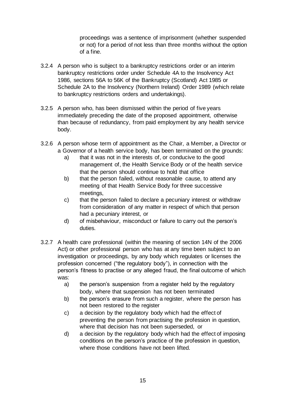proceedings was a sentence of imprisonment (whether suspended or not) for a period of not less than three months without the option of a fine.

- 3.2.4 A person who is subject to a bankruptcy restrictions order or an interim bankruptcy restrictions order under Schedule 4A to the Insolvency Act 1986, sections 56A to 56K of the Bankruptcy (Scotland) Act 1985 or Schedule 2A to the Insolvency (Northern Ireland) Order 1989 (which relate to bankruptcy restrictions orders and undertakings).
- 3.2.5 A person who, has been dismissed within the period of five years immediately preceding the date of the proposed appointment, otherwise than because of redundancy, from paid employment by any health service body.
- 3.2.6 A person whose term of appointment as the Chair, a Member, a Director or a Governor of a health service body, has been terminated on the grounds:
	- a) that it was not in the interests of, or conducive to the good management of, the Health Service Body or of the health service that the person should continue to hold that office
	- b) that the person failed, without reasonable cause, to attend any meeting of that Health Service Body for three successive meetings,
	- c) that the person failed to declare a pecuniary interest or withdraw from consideration of any matter in respect of which that person had a pecuniary interest, or
	- d) of misbehaviour, misconduct or failure to carry out the person's duties.
- 3.2.7 A health care professional (within the meaning of section 14N of the 2006 Act) or other professional person who has at any time been subject to an investigation or proceedings, by any body which regulates or licenses the profession concerned ("the regulatory body"), in connection with the person's fitness to practise or any alleged fraud, the final outcome of which was:
	- a) the person's suspension from a register held by the regulatory body, where that suspension has not been terminated
	- b) the person's erasure from such a register, where the person has not been restored to the register
	- c) a decision by the regulatory body which had the effect of preventing the person from practising the profession in question, where that decision has not been superseded, or
	- d) a decision by the regulatory body which had the effect of imposing conditions on the person's practice of the profession in question, where those conditions have not been lifted.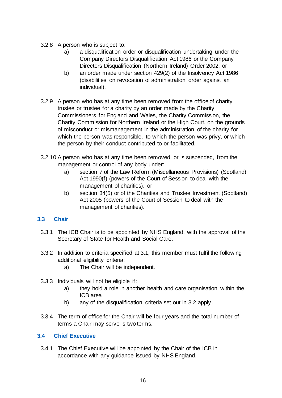- 3.2.8 A person who is subject to:
	- a) a disqualification order or disqualification undertaking under the Company Directors Disqualification Act 1986 or the Company Directors Disqualification (Northern Ireland) Order 2002, or
	- b) an order made under section 429(2) of the Insolvency Act 1986 (disabilities on revocation of administration order against an individual).
- 3.2.9 A person who has at any time been removed from the office of charity trustee or trustee for a charity by an order made by the Charity Commissioners for England and Wales, the Charity Commission, the Charity Commission for Northern Ireland or the High Court, on the grounds of misconduct or mismanagement in the administration of the charity for which the person was responsible, to which the person was privy, or which the person by their conduct contributed to or facilitated.
- 3.2.10 A person who has at any time been removed, or is suspended, from the management or control of any body under:
	- a) section 7 of the Law Reform (Miscellaneous Provisions) (Scotland) Act 1990(f) (powers of the Court of Session to deal with the management of charities), or
	- b) section 34(5) or of the Charities and Trustee Investment (Scotland) Act 2005 (powers of the Court of Session to deal with the management of charities).

#### <span id="page-15-0"></span>**3.3 Chair**

- 3.3.1 The ICB Chair is to be appointed by NHS England, with the approval of the Secretary of State for Health and Social Care.
- 3.3.2 In addition to criteria specified at 3.1, this member must fulfil the following additional eligibility criteria:
	- a) The Chair will be independent.
- 3.3.3 Individuals will not be eligible if:
	- a) they hold a role in another health and care organisation within the ICB area
	- b) any of the disqualification criteria set out in 3.2 apply.
- 3.3.4 The term of office for the Chair will be four years and the total number of terms a Chair may serve is two terms.

#### <span id="page-15-1"></span>**3.4 Chief Executive**

3.4.1 The Chief Executive will be appointed by the Chair of the ICB in accordance with any guidance issued by NHS England.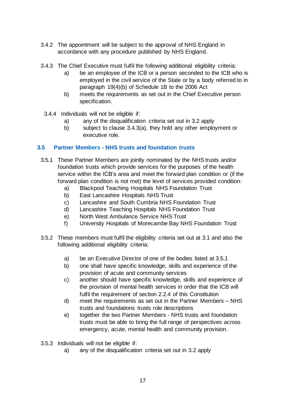- 3.4.2 The appointment will be subject to the approval of NHS England in accordance with any procedure published by NHS England.
- 3.4.3 The Chief Executive must fulfil the following additional eligibility criteria:
	- a) be an employee of the ICB or a person seconded to the ICB who is employed in the civil service of the State or by a body referred to in paragraph 19(4)(b) of Schedule 1B to the 2006 Act
	- b) meets the requirements as set out in the Chief Executive person specification.
	- 3.4.4 Individuals will not be eligible if:
		- a) any of the disqualification criteria set out in 3.2 apply
		- b) subject to clause 3.4.3(a), they hold any other employment or executive role.

#### <span id="page-16-0"></span>**3.5 Partner Members - NHS trusts and foundation trusts**

- 3.5.1 These Partner Members are jointly nominated by the NHS trusts and/or foundation trusts which provide services for the purposes of the health service within the ICB's area and meet the forward plan condition or (if the forward plan condition is not met) the level of services provided condition:
	- a) Blackpool Teaching Hospitals NHS Foundation Trust
	- b) East Lancashire Hospitals NHS Trust
	- c) Lancashire and South Cumbria NHS Foundation Trust
	- d) Lancashire Teaching Hospitals NHS Foundation Trust
	- e) North West Ambulance Service NHS Trust
	- f) University Hospitals of Morecambe Bay NHS Foundation Trust
- 3.5.2 These members must fulfil the eligibility criteria set out at 3.1 and also the following additional eligibility criteria:
	- a) be an Executive Director of one of the bodies listed at 3.5.1
	- b) one shall have specific knowledge, skills and experience of the provision of acute and community services
	- c) another should have specific knowledge, skills and experience of the provision of mental health services in order that the ICB will fulfil the requirement of section 2.2.4 of this Constitution
	- d) meet the requirements as set out in the Partner Members NHS trusts and foundations trusts role descriptions
	- e) together the two Partner Members NHS trusts and foundation trusts must be able to bring the full range of perspectives across emergency, acute, mental health and community provision.
- 3.5.3 Individuals will not be eligible if:
	- a) any of the disqualification criteria set out in 3.2 apply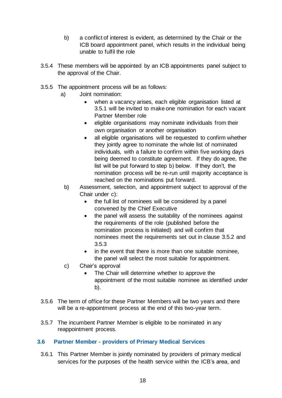- b) a conflict of interest is evident, as determined by the Chair or the ICB board appointment panel, which results in the individual being unable to fulfil the role
- 3.5.4 These members will be appointed by an ICB appointments panel subject to the approval of the Chair.
- 3.5.5 The appointment process will be as follows:
	- a) Joint nomination:
		- when a vacancy arises, each eligible organisation listed at 3.5.1 will be invited to make one nomination for each vacant Partner Member role
		- eligible organisations may nominate individuals from their own organisation or another organisation
		- all eligible organisations will be requested to confirm whether they jointly agree to nominate the whole list of nominated individuals, with a failure to confirm within five working days being deemed to constitute agreement. If they do agree, the list will be put forward to step b) below. If they don't, the nomination process will be re-run until majority acceptance is reached on the nominations put forward.
		- b) Assessment, selection, and appointment subject to approval of the Chair under c):
			- the full list of nominees will be considered by a panel convened by the Chief Executive
			- the panel will assess the suitability of the nominees against the requirements of the role (published before the nomination process is initiated) and will confirm that nominees meet the requirements set out in clause 3.5.2 and 3.5.3
			- in the event that there is more than one suitable nominee, the panel will select the most suitable for appointment.
		- c) Chair's approval
			- The Chair will determine whether to approve the appointment of the most suitable nominee as identified under b).
- 3.5.6 The term of office for these Partner Members will be two years and there will be a re-appointment process at the end of this two-year term.
- 3.5.7 The incumbent Partner Member is eligible to be nominated in any reappointment process.

#### <span id="page-17-0"></span>**3.6 Partner Member - providers of Primary Medical Services**

3.6.1 This Partner Member is jointly nominated by providers of primary medical services for the purposes of the health service within the ICB's area, and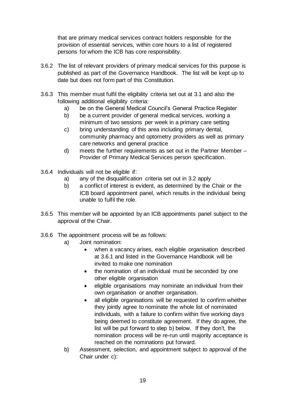that are primary medical services contract holders responsible for the provision of essential services, within core hours to a list of registered persons for whom the ICB has core responsibility.

- 3.6.2 The list of relevant providers of primary medical services for this purpose is published as part of the Governance Handbook. The list will be kept up to date but does not form part of this Constitution.
- 3.6.3 This member must fulfil the eligibility criteria set out at 3.1 and also the following additional eligibility criteria:
	- a) be on the General Medical Council's General Practice Register
	- b) be a current provider of general medical services, working a minimum of two sessions per week in a primary care setting
	- c) bring understanding of this area including primary dental, community pharmacy and optometry providers as well as primary care networks and general practice
	- d) meets the further requirements as set out in the Partner Member Provider of Primary Medical Services person specification.
- 3.6.4 Individuals will not be eligible if:
	- a) any of the disqualification criteria set out in 3.2 apply
	- b) a conflict of interest is evident, as determined by the Chair or the ICB board appointment panel, which results in the individual being unable to fulfil the role.
- 3.6.5 This member will be appointed by an ICB appointments panel subject to the approval of the Chair.
- 3.6.6 The appointment process will be as follows:
	- a) Joint nomination:
		- when a vacancy arises, each eligible organisation described at 3.6.1 and listed in the Governance Handbook will be invited to make one nomination
		- the nomination of an individual must be seconded by one other eligible organisation
		- eligible organisations may nominate an individual from their own organisation or another organisation.
		- all eligible organisations will be requested to confirm whether they jointly agree to nominate the whole list of nominated individuals, with a failure to confirm within five working days being deemed to constitute agreement. If they do agree, the list will be put forward to step b) below. If they don't, the nomination process will be re-run until majority acceptance is reached on the nominations put forward.
	- b) Assessment, selection, and appointment subject to approval of the Chair under c):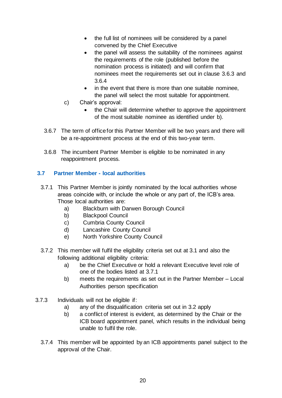- the full list of nominees will be considered by a panel convened by the Chief Executive
- the panel will assess the suitability of the nominees against the requirements of the role (published before the nomination process is initiated) and will confirm that nominees meet the requirements set out in clause 3.6.3 and 3.6.4
- in the event that there is more than one suitable nominee, the panel will select the most suitable for appointment.
- c) Chair's approval:
	- the Chair will determine whether to approve the appointment of the most suitable nominee as identified under b).
- 3.6.7 The term of officefor this Partner Member will be two years and there will be a re-appointment process at the end of this two-year term.
- 3.6.8 The incumbent Partner Member is eligible to be nominated in any reappointment process.

#### **3.7 Partner Member - local authorities**

- 3.7.1 This Partner Member is jointly nominated by the local authorities whose areas coincide with, or include the whole or any part of, the ICB's area. Those local authorities are:
	- a) Blackburn with Darwen Borough Council
	- b) Blackpool Council
	- c) Cumbria County Council
	- d) Lancashire County Council
	- e) North Yorkshire County Council
- 3.7.2 This member will fulfil the eligibility criteria set out at 3.1 and also the following additional eligibility criteria:
	- a) be the Chief Executive or hold a relevant Executive level role of one of the bodies listed at 3.7.1
	- b) meets the requirements as set out in the Partner Member Local Authorities person specification
- 3.7.3 Individuals will not be eligible if:
	- a) any of the disqualification criteria set out in 3.2 apply
	- b) a conflict of interest is evident, as determined by the Chair or the ICB board appointment panel, which results in the individual being unable to fulfil the role.
	- 3.7.4 This member will be appointed by an ICB appointments panel subject to the approval of the Chair.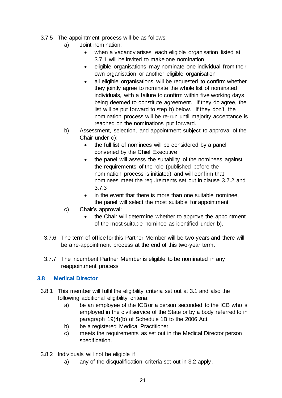- 3.7.5 The appointment process will be as follows:
	- a) Joint nomination:
		- when a vacancy arises, each eligible organisation listed at 3.7.1 will be invited to make one nomination
		- eligible organisations may nominate one individual from their own organisation or another eligible organisation
		- all eligible organisations will be requested to confirm whether they jointly agree to nominate the whole list of nominated individuals, with a failure to confirm within five working days being deemed to constitute agreement. If they do agree, the list will be put forward to step b) below. If they don't, the nomination process will be re-run until majority acceptance is reached on the nominations put forward.
	- b) Assessment, selection, and appointment subject to approval of the Chair under c):
		- the full list of nominees will be considered by a panel convened by the Chief Executive
		- the panel will assess the suitability of the nominees against the requirements of the role (published before the nomination process is initiated) and will confirm that nominees meet the requirements set out in clause 3.7.2 and 3.7.3
		- in the event that there is more than one suitable nominee, the panel will select the most suitable for appointment.
	- c) Chair's approval:
		- the Chair will determine whether to approve the appointment of the most suitable nominee as identified under b).
	- 3.7.6 The term of officefor this Partner Member will be two years and there will be a re-appointment process at the end of this two-year term.
	- 3.7.7 The incumbent Partner Member is eligible to be nominated in any reappointment process.

#### <span id="page-20-0"></span>**3.8 Medical Director**

- 3.8.1 This member will fulfil the eligibility criteria set out at 3.1 and also the following additional eligibility criteria:
	- a) be an employee of the ICBor a person seconded to the ICB who is employed in the civil service of the State or by a body referred to in paragraph 19(4)(b) of Schedule 1B to the 2006 Act
	- b) be a registered Medical Practitioner
	- c) meets the requirements as set out in the Medical Director person specification.
- 3.8.2 Individuals will not be eligible if:
	- a) any of the disqualification criteria set out in 3.2 apply.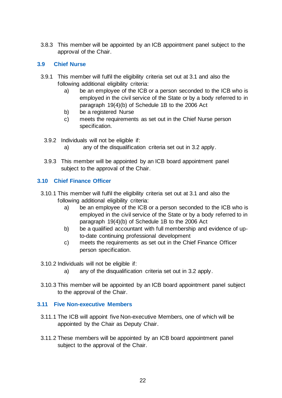3.8.3 This member will be appointed by an ICB appointment panel subject to the approval of the Chair.

#### <span id="page-21-0"></span>**3.9 Chief Nurse**

- 3.9.1 This member will fulfil the eligibility criteria set out at 3.1 and also the following additional eligibility criteria:
	- a) be an employee of the ICB or a person seconded to the ICB who is employed in the civil service of the State or by a body referred to in paragraph 19(4)(b) of Schedule 1B to the 2006 Act
	- b) be a registered Nurse
	- c) meets the requirements as set out in the Chief Nurse person specification.
	- 3.9.2 Individuals will not be eligible if:
		- a) any of the disqualification criteria set out in 3.2 apply.
	- 3.9.3 This member will be appointed by an ICB board appointment panel subject to the approval of the Chair.

#### <span id="page-21-1"></span>**3.10 Chief Finance Officer**

- 3.10.1 This member will fulfil the eligibility criteria set out at 3.1 and also the following additional eligibility criteria:
	- a) be an employee of the ICB or a person seconded to the ICB who is employed in the civil service of the State or by a body referred to in paragraph 19(4)(b) of Schedule 1B to the 2006 Act
	- b) be a qualified accountant with full membership and evidence of upto-date continuing professional development
	- c) meets the requirements as set out in the Chief Finance Officer person specification.

3.10.2 Individuals will not be eligible if:

- a) any of the disqualification criteria set out in 3.2 apply.
- 3.10.3 This member will be appointed by an ICB board appointment panel subject to the approval of the Chair.

#### <span id="page-21-2"></span>**3.11 Five Non-executive Members**

- 3.11.1 The ICB will appoint five Non-executive Members, one of which will be appointed by the Chair as Deputy Chair.
- 3.11.2 These members will be appointed by an ICB board appointment panel subject to the approval of the Chair.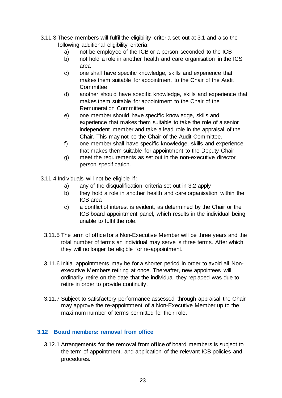- 3.11.3 These members will fulfil the eligibility criteria set out at 3.1 and also the following additional eligibility criteria:
	- a) not be employee of the ICB or a person seconded to the ICB
	- b) not hold a role in another health and care organisation in the ICS area
	- c) one shall have specific knowledge, skills and experience that makes them suitable for appointment to the Chair of the Audit **Committee**
	- d) another should have specific knowledge, skills and experience that makes them suitable for appointment to the Chair of the Remuneration Committee
	- e) one member should have specific knowledge, skills and experience that makes them suitable to take the role of a senior independent member and take a lead role in the appraisal of the Chair. This may not be the Chair of the Audit Committee.
	- f) one member shall have specific knowledge, skills and experience that makes them suitable for appointment to the Deputy Chair
	- g) meet the requirements as set out in the non-executive director person specification.

3.11.4 Individuals will not be eligible if:

- a) any of the disqualification criteria set out in 3.2 apply
- b) they hold a role in another health and care organisation within the ICB area
- c) a conflict of interest is evident, as determined by the Chair or the ICB board appointment panel, which results in the individual being unable to fulfil the role.
- 3.11.5 The term of office for a Non-Executive Member will be three years and the total number of terms an individual may serve is three terms. After which they will no longer be eligible for re-appointment.
- 3.11.6 Initial appointments may be for a shorter period in order to avoid all Nonexecutive Members retiring at once. Thereafter, new appointees will ordinarily retire on the date that the individual they replaced was due to retire in order to provide continuity.
- 3.11.7 Subject to satisfactory performance assessed through appraisal the Chair may approve the re-appointment of a Non-Executive Member up to the maximum number of terms permitted for their role.

#### <span id="page-22-0"></span>**3.12 Board members: removal from office**

3.12.1 Arrangements for the removal from office of board members is subject to the term of appointment, and application of the relevant ICB policies and procedures.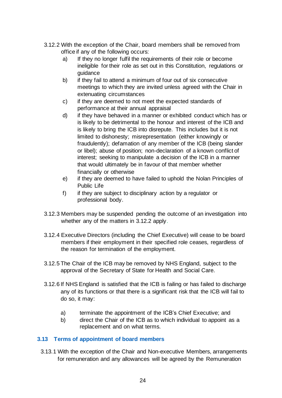- 3.12.2 With the exception of the Chair, board members shall be removed from office if any of the following occurs:
	- a) If they no longer fulfil the requirements of their role or become ineligible for their role as set out in this Constitution, regulations or guidance
	- b) if they fail to attend a minimum of four out of six consecutive meetings to which they are invited unless agreed with the Chair in extenuating circumstances
	- c) if they are deemed to not meet the expected standards of performance at their annual appraisal
	- d) if they have behaved in a manner or exhibited conduct which has or is likely to be detrimental to the honour and interest of the ICB and is likely to bring the ICB into disrepute. This includes but it is not limited to dishonesty; misrepresentation (either knowingly or fraudulently); defamation of any member of the ICB (being slander or libel); abuse of position; non-declaration of a known conflict of interest; seeking to manipulate a decision of the ICB in a manner that would ultimately be in favour of that member whether financially or otherwise
	- e) if they are deemed to have failed to uphold the Nolan Principles of Public Life
	- f) if they are subject to disciplinary action by a regulator or professional body.
- 3.12.3 Members may be suspended pending the outcome of an investigation into whether any of the matters in 3.12.2 apply.
- 3.12.4 Executive Directors (including the Chief Executive) will cease to be board members if their employment in their specified role ceases, regardless of the reason for termination of the employment.
- 3.12.5 The Chair of the ICB may be removed by NHS England, subject to the approval of the Secretary of State for Health and Social Care.
- 3.12.6 If NHS England is satisfied that the ICB is failing or has failed to discharge any of its functions or that there is a significant risk that the ICB will fail to do so, it may:
	- a) terminate the appointment of the ICB's Chief Executive; and
	- b) direct the Chair of the ICB as to which individual to appoint as a replacement and on what terms.

#### <span id="page-23-0"></span>**3.13 Terms of appointment of board members**

3.13.1 With the exception of the Chair and Non-executive Members, arrangements for remuneration and any allowances will be agreed by the Remuneration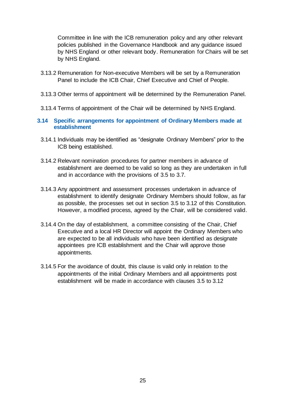Committee in line with the ICB remuneration policy and any other relevant policies published in the Governance Handbook and any guidance issued by NHS England or other relevant body. Remuneration for Chairs will be set by NHS England.

- 3.13.2 Remuneration for Non-executive Members will be set by a Remuneration Panel to include the ICB Chair, Chief Executive and Chief of People.
- 3.13.3 Other terms of appointment will be determined by the Remuneration Panel.
- 3.13.4 Terms of appointment of the Chair will be determined by NHS England.

#### <span id="page-24-0"></span>**3.14 Specific arrangements for appointment of Ordinary Members made at establishment**

- 3.14.1 Individuals may be identified as "designate Ordinary Members" prior to the ICB being established.
- 3.14.2 Relevant nomination procedures for partner members in advance of establishment are deemed to be valid so long as they are undertaken in full and in accordance with the provisions of 3.5 to 3.7.
- 3.14.3 Any appointment and assessment processes undertaken in advance of establishment to identify designate Ordinary Members should follow, as far as possible, the processes set out in section 3.5 to 3.12 of this Constitution. However, a modified process, agreed by the Chair, will be considered valid.
- 3.14.4 On the day of establishment, a committee consisting of the Chair, Chief Executive and a local HR Director will appoint the Ordinary Members who are expected to be all individuals who have been identified as designate appointees pre ICB establishment and the Chair will approve those appointments.
- 3.14.5 For the avoidance of doubt, this clause is valid only in relation to the appointments of the initial Ordinary Members and all appointments post establishment will be made in accordance with clauses 3.5 to 3.12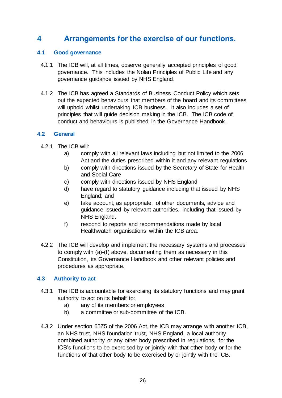# <span id="page-25-0"></span>**4 Arrangements for the exercise of our functions.**

#### <span id="page-25-1"></span>**4.1 Good governance**

- 4.1.1 The ICB will, at all times, observe generally accepted principles of good governance. This includes the Nolan Principles of Public Life and any governance guidance issued by NHS England.
- 4.1.2 The ICB has agreed a Standards of Business Conduct Policy which sets out the expected behaviours that members of the board and its committees will uphold whilst undertaking ICB business. It also includes a set of principles that will guide decision making in the ICB. The ICB code of conduct and behaviours is published in the Governance Handbook.

#### <span id="page-25-2"></span>**4.2 General**

- 4.2.1 The ICB will:
	- a) comply with all relevant laws including but not limited to the 2006 Act and the duties prescribed within it and any relevant regulations
	- b) comply with directions issued by the Secretary of State for Health and Social Care
	- c) comply with directions issued by NHS England
	- d) have regard to statutory guidance including that issued by NHS England; and
	- e) take account, as appropriate, of other documents, advice and guidance issued by relevant authorities, including that issued by NHS England.
	- f) respond to reports and recommendations made by local Healthwatch organisations within the ICB area.
- 4.2.2 The ICB will develop and implement the necessary systems and processes to comply with (a)-(f) above, documenting them as necessary in this Constitution, its Governance Handbook and other relevant policies and procedures as appropriate.

#### <span id="page-25-3"></span>**4.3 Authority to act**

- 4.3.1 The ICB is accountable for exercising its statutory functions and may grant authority to act on its behalf to:
	- a) any of its members or employees
	- b) a committee or sub-committee of the ICB.
- 4.3.2 Under section 65Z5 of the 2006 Act, the ICB may arrange with another ICB, an NHS trust, NHS foundation trust, NHS England, a local authority, combined authority or any other body prescribed in regulations, for the ICB's functions to be exercised by or jointly with that other body or for the functions of that other body to be exercised by or jointly with the ICB.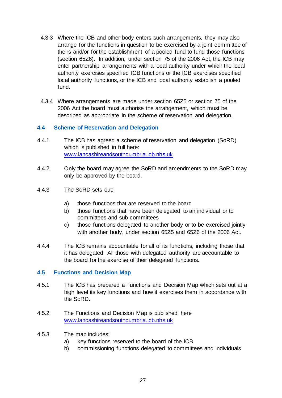- 4.3.3 Where the ICB and other body enters such arrangements, they may also arrange for the functions in question to be exercised by a joint committee of theirs and/or for the establishment of a pooled fund to fund those functions (section 65Z6). In addition, under section 75 of the 2006 Act, the ICB may enter partnership arrangements with a local authority under which the local authority exercises specified ICB functions or the ICB exercises specified local authority functions, or the ICB and local authority establish a pooled fund.
- 4.3.4 Where arrangements are made under section 65Z5 or section 75 of the 2006 Act the board must authorise the arrangement, which must be described as appropriate in the scheme of reservation and delegation.

#### <span id="page-26-0"></span>**4.4 Scheme of Reservation and Delegation**

- 4.4.1 The ICB has agreed a scheme of reservation and delegation (SoRD) which is published in full here: [www.lancashireandsouthcumbria.icb.nhs.uk](http://www.lancashireandsouthcumbria.icb.nhs.uk/)
- 4.4.2 Only the board may agree the SoRD and amendments to the SoRD may only be approved by the board.
- 4.4.3 The SoRD sets out:
	- a) those functions that are reserved to the board
	- b) those functions that have been delegated to an individual or to committees and sub committees
	- c) those functions delegated to another body or to be exercised jointly with another body, under section 65Z5 and 65Z6 of the 2006 Act.
- 4.4.4 The ICB remains accountable for all of its functions, including those that it has delegated. All those with delegated authority are accountable to the board for the exercise of their delegated functions.

#### <span id="page-26-1"></span>**4.5 Functions and Decision Map**

- 4.5.1 The ICB has prepared a Functions and Decision Map which sets out at a high level its key functions and how it exercises them in accordance with the SoRD.
- 4.5.2 The Functions and Decision Map is published here [www.lancashireandsouthcumbria.icb.nhs.uk](http://www.lancashireandsouthcumbria.icb.nhs.uk/)
- 4.5.3 The map includes:
	- a) key functions reserved to the board of the ICB
	- b) commissioning functions delegated to committees and individuals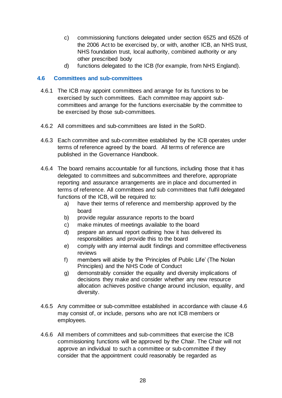- c) commissioning functions delegated under section 65Z5 and 65Z6 of the 2006 Act to be exercised by, or with, another ICB, an NHS trust, NHS foundation trust, local authority, combined authority or any other prescribed body
- d) functions delegated to the ICB (for example, from NHS England).

#### <span id="page-27-0"></span>**4.6 Committees and sub-committees**

- 4.6.1 The ICB may appoint committees and arrange for its functions to be exercised by such committees. Each committee may appoint subcommittees and arrange for the functions exercisable by the committee to be exercised by those sub-committees.
- 4.6.2 All committees and sub-committees are listed in the SoRD.
- 4.6.3 Each committee and sub-committee established by the ICB operates under terms of reference agreed by the board. All terms of reference are published in the Governance Handbook.
- 4.6.4 The board remains accountable for all functions, including those that it has delegated to committees and subcommittees and therefore, appropriate reporting and assurance arrangements are in place and documented in terms of reference. All committees and sub committees that fulfil delegated functions of the ICB, will be required to:
	- a) have their terms of reference and membership approved by the board
	- b) provide regular assurance reports to the board
	- c) make minutes of meetings available to the board
	- d) prepare an annual report outlining how it has delivered its responsibilities and provide this to the board
	- e) comply with any internal audit findings and committee effectiveness reviews
	- f) members will abide by the 'Principles of Public Life' (The Nolan Principles) and the NHS Code of Conduct
	- g) demonstrably consider the equality and diversity implications of decisions they make and consider whether any new resource allocation achieves positive change around inclusion, equality, and diversity.
- 4.6.5 Any committee or sub-committee established in accordance with clause 4.6 may consist of, or include, persons who are not ICB members or employees.
- 4.6.6 All members of committees and sub-committees that exercise the ICB commissioning functions will be approved by the Chair. The Chair will not approve an individual to such a committee or sub-committee if they consider that the appointment could reasonably be regarded as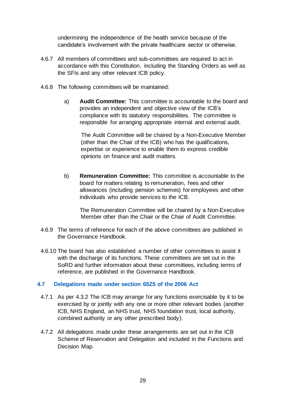undermining the independence of the health service because of the candidate's involvement with the private healthcare sector or otherwise.

- 4.6.7 All members of committees and sub-committees are required to act in accordance with this Constitution, including the Standing Orders as well as the SFIs and any other relevant ICB policy.
- 4.6.8 The following committees will be maintained:
	- a) **Audit Committee:** This committee is accountable to the board and provides an independent and objective view of the ICB's compliance with its statutory responsibilities. The committee is responsible for arranging appropriate internal and external audit.

The Audit Committee will be chaired by a Non-Executive Member (other than the Chair of the ICB) who has the qualifications, expertise or experience to enable them to express credible opinions on finance and audit matters.

b) **Remuneration Committee:** This committee is accountable to the board for matters relating to remuneration, fees and other allowances (including pension schemes) for employees and other individuals who provide services to the ICB.

The Remuneration Committee will be chaired by a Non-Executive Member other than the Chair or the Chair of Audit Committee.

- 4.6.9 The terms of reference for each of the above committees are published in the Governance Handbook.
- 4.6.10 The board has also established a number of other committees to assist it with the discharge of its functions. These committees are set out in the SoRD and further information about these committees, including terms of reference, are published in the Governance Handbook.

#### <span id="page-28-0"></span>**4.7 Delegations made under section 65Z5 of the 2006 Act**

- 4.7.1 As per 4.3.2 The ICB may arrange for any functions exercisable by it to be exercised by or jointly with any one or more other relevant bodies (another ICB, NHS England, an NHS trust, NHS foundation trust, local authority, combined authority or any other prescribed body).
- 4.7.2 All delegations made under these arrangements are set out in the ICB Scheme of Reservation and Delegation and included in the Functions and Decision Map.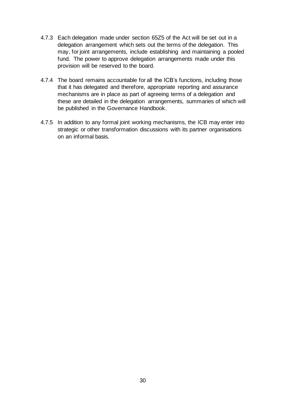- 4.7.3 Each delegation made under section 65Z5 of the Act will be set out in a delegation arrangement which sets out the terms of the delegation. This may, for joint arrangements, include establishing and maintaining a pooled fund. The power to approve delegation arrangements made under this provision will be reserved to the board.
- 4.7.4 The board remains accountable for all the ICB's functions, including those that it has delegated and therefore, appropriate reporting and assurance mechanisms are in place as part of agreeing terms of a delegation and these are detailed in the delegation arrangements, summaries of which will be published in the Governance Handbook.
- 4.7.5 In addition to any formal joint working mechanisms, the ICB may enter into strategic or other transformation discussions with its partner organisations on an informal basis.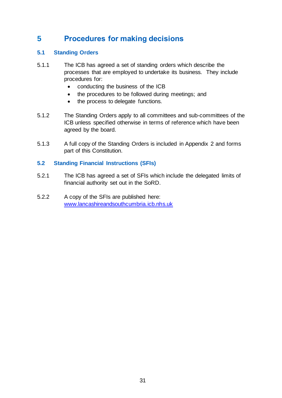# <span id="page-30-0"></span>**5 Procedures for making decisions**

#### <span id="page-30-1"></span>**5.1 Standing Orders**

- 5.1.1 The ICB has agreed a set of standing orders which describe the processes that are employed to undertake its business. They include procedures for:
	- conducting the business of the ICB
	- the procedures to be followed during meetings; and
	- the process to delegate functions.
- 5.1.2 The Standing Orders apply to all committees and sub-committees of the ICB unless specified otherwise in terms of reference which have been agreed by the board.
- 5.1.3 A full copy of the Standing Orders is included in Appendix 2 and forms part of this Constitution.

#### <span id="page-30-2"></span>**5.2 Standing Financial Instructions (SFIs)**

- 5.2.1 The ICB has agreed a set of SFIs which include the delegated limits of financial authority set out in the SoRD.
- 5.2.2 A copy of the SFIs are published here: [www.lancashireandsouthcumbria.icb.nhs.uk](http://www.lancashireandsouthcumbria.icb.nhs.uk/)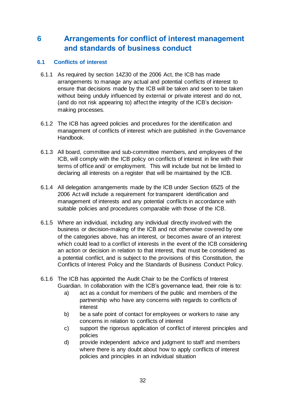# <span id="page-31-0"></span>**6 Arrangements for conflict of interest management and standards of business conduct**

#### <span id="page-31-1"></span>**6.1 Conflicts of interest**

- 6.1.1 As required by section 14Z30 of the 2006 Act, the ICB has made arrangements to manage any actual and potential conflicts of interest to ensure that decisions made by the ICB will be taken and seen to be taken without being unduly influenced by external or private interest and do not, (and do not risk appearing to) affect the integrity of the ICB's decisionmaking processes.
- 6.1.2 The ICB has agreed policies and procedures for the identification and management of conflicts of interest which are published in the Governance Handbook.
- 6.1.3 All board, committee and sub-committee members, and employees of the ICB, will comply with the ICB policy on conflicts of interest in line with their terms of office and/ or employment. This will include but not be limited to declaring all interests on a register that will be maintained by the ICB.
- 6.1.4 All delegation arrangements made by the ICB under Section 65Z5 of the 2006 Act will include a requirement for transparent identification and management of interests and any potential conflicts in accordance with suitable policies and procedures comparable with those of the ICB.
- 6.1.5 Where an individual, including any individual directly involved with the business or decision-making of the ICB and not otherwise covered by one of the categories above, has an interest, or becomes aware of an interest which could lead to a conflict of interests in the event of the ICB considering an action or decision in relation to that interest, that must be considered as a potential conflict, and is subject to the provisions of this Constitution, the Conflicts of Interest Policy and the Standards of Business Conduct Policy.
- 6.1.6 The ICB has appointed the Audit Chair to be the Conflicts of Interest Guardian. In collaboration with the ICB's governance lead, their role is to:
	- a) act as a conduit for members of the public and members of the partnership who have any concerns with regards to conflicts of interest
	- b) be a safe point of contact for employees or workers to raise any concerns in relation to conflicts of interest
	- c) support the rigorous application of conflict of interest principles and policies
	- d) provide independent advice and judgment to staff and members where there is any doubt about how to apply conflicts of interest policies and principles in an individual situation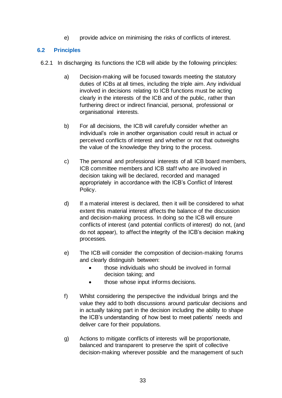e) provide advice on minimising the risks of conflicts of interest.

#### <span id="page-32-0"></span>**6.2 Principles**

- 6.2.1 In discharging its functions the ICB will abide by the following principles:
	- a) Decision-making will be focused towards meeting the statutory duties of ICBs at all times, including the triple aim. Any individual involved in decisions relating to ICB functions must be acting clearly in the interests of the ICB and of the public, rather than furthering direct or indirect financial, personal, professional or organisational interests.
	- b) For all decisions, the ICB will carefully consider whether an individual's role in another organisation could result in actual or perceived conflicts of interest and whether or not that outweighs the value of the knowledge they bring to the process.
	- c) The personal and professional interests of all ICB board members, ICB committee members and ICB staff who are involved in decision taking will be declared, recorded and managed appropriately in accordance with the ICB's Conflict of Interest Policy.
	- d) If a material interest is declared, then it will be considered to what extent this material interest affects the balance of the discussion and decision-making process. In doing so the ICB will ensure conflicts of interest (and potential conflicts of interest) do not, (and do not appear), to affect the integrity of the ICB's decision making processes.
	- e) The ICB will consider the composition of decision-making forums and clearly distinguish between:
		- those individuals who should be involved in formal decision taking; and
		- those whose input informs decisions.
	- f) Whilst considering the perspective the individual brings and the value they add to both discussions around particular decisions and in actually taking part in the decision including the ability to shape the ICB's understanding of how best to meet patients' needs and deliver care for their populations.
	- g) Actions to mitigate conflicts of interests will be proportionate, balanced and transparent to preserve the spirit of collective decision-making wherever possible and the management of such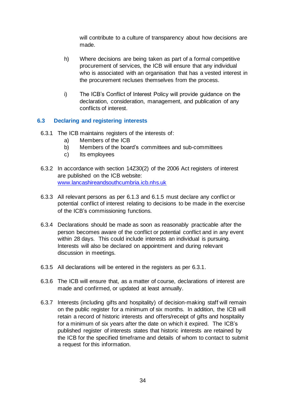will contribute to a culture of transparency about how decisions are made.

- h) Where decisions are being taken as part of a formal competitive procurement of services, the ICB will ensure that any individual who is associated with an organisation that has a vested interest in the procurement recluses themselves from the process.
- i) The ICB's Conflict of Interest Policy will provide guidance on the declaration, consideration, management, and publication of any conflicts of interest.

#### <span id="page-33-0"></span>**6.3 Declaring and registering interests**

- 6.3.1 The ICB maintains registers of the interests of:
	- a) Members of the ICB
	- b) Members of the board's committees and sub-committees
	- c) Its employees
- 6.3.2 In accordance with section 14Z30(2) of the 2006 Act registers of interest are published on the ICB website: [www.lancashireandsouthcumbria.icb.nhs.uk](http://www.lancashireandsouthcumbria.icb.nhs.uk/)
- 6.3.3 All relevant persons as per 6.1.3 and 6.1.5 must declare any conflict or potential conflict of interest relating to decisions to be made in the exercise of the ICB's commissioning functions.
- 6.3.4 Declarations should be made as soon as reasonably practicable after the person becomes aware of the conflict or potential conflict and in any event within 28 days. This could include interests an individual is pursuing. Interests will also be declared on appointment and during relevant discussion in meetings.
- 6.3.5 All declarations will be entered in the registers as per 6.3.1.
- 6.3.6 The ICB will ensure that, as a matter of course, declarations of interest are made and confirmed, or updated at least annually.
- 6.3.7 Interests (including gifts and hospitality) of decision-making staff will remain on the public register for a minimum of six months. In addition, the ICB will retain a record of historic interests and offers/receipt of gifts and hospitality for a minimum of six years after the date on which it expired. The ICB's published register of interests states that historic interests are retained by the ICB for the specified timeframe and details of whom to contact to submit a request for this information.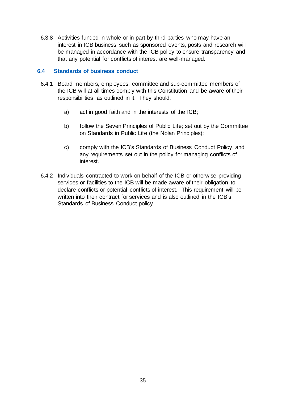6.3.8 Activities funded in whole or in part by third parties who may have an interest in ICB business such as sponsored events, posts and research will be managed in accordance with the ICB policy to ensure transparency and that any potential for conflicts of interest are well-managed.

#### <span id="page-34-0"></span>**6.4 Standards of business conduct**

- 6.4.1 Board members, employees, committee and sub-committee members of the ICB will at all times comply with this Constitution and be aware of their responsibilities as outlined in it. They should:
	- a) act in good faith and in the interests of the ICB;
	- b) follow the Seven Principles of Public Life; set out by the Committee on Standards in Public Life (the Nolan Principles);
	- c) comply with the ICB's Standards of Business Conduct Policy, and any requirements set out in the policy for managing conflicts of interest.
- 6.4.2 Individuals contracted to work on behalf of the ICB or otherwise providing services or facilities to the ICB will be made aware of their obligation to declare conflicts or potential conflicts of interest. This requirement will be written into their contract for services and is also outlined in the ICB's Standards of Business Conduct policy.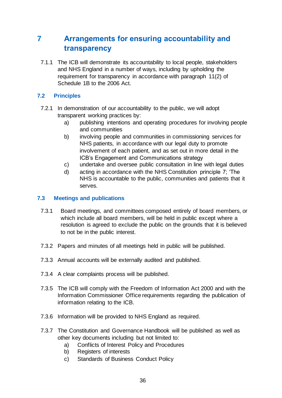# <span id="page-35-0"></span>**7 Arrangements for ensuring accountability and transparency**

7.1.1 The ICB will demonstrate its accountability to local people, stakeholders and NHS England in a number of ways, including by upholding the requirement for transparency in accordance with paragraph 11(2) of Schedule 1B to the 2006 Act.

#### <span id="page-35-1"></span>**7.2 Principles**

- 7.2.1 In demonstration of our accountability to the public, we will adopt transparent working practices by:
	- a) publishing intentions and operating procedures for involving people and communities
	- b) involving people and communities in commissioning services for NHS patients, in accordance with our legal duty to promote involvement of each patient, and as set out in more detail in the ICB's Engagement and Communications strategy
	- c) undertake and oversee public consultation in line with legal duties
	- d) acting in accordance with the NHS Constitution principle 7; 'The NHS is accountable to the public, communities and patients that it serves.

#### <span id="page-35-2"></span>**7.3 Meetings and publications**

- 7.3.1 Board meetings, and committees composed entirely of board members, or which include all board members, will be held in public except where a resolution is agreed to exclude the public on the grounds that it is believed to not be in the public interest.
- 7.3.2 Papers and minutes of all meetings held in public will be published.
- 7.3.3 Annual accounts will be externally audited and published.
- 7.3.4 A clear complaints process will be published.
- 7.3.5 The ICB will comply with the Freedom of Information Act 2000 and with the Information Commissioner Office requirements regarding the publication of information relating to the ICB.
- 7.3.6 Information will be provided to NHS England as required.
- 7.3.7 The Constitution and Governance Handbook will be published as well as other key documents including but not limited to:
	- a) Conflicts of Interest Policy and Procedures
	- b) Registers of interests
	- c) Standards of Business Conduct Policy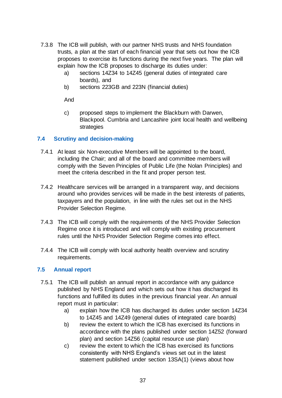- 7.3.8 The ICB will publish, with our partner NHS trusts and NHS foundation trusts, a plan at the start of each financial year that sets out how the ICB proposes to exercise its functions during the next five years. The plan will explain how the ICB proposes to discharge its duties under:
	- a) sections 14Z34 to 14Z45 (general duties of integrated care boards), and
	- b) sections 223GB and 223N (financial duties)

And

c) proposed steps to implement the Blackburn with Darwen, Blackpool. Cumbria and Lancashire joint local health and wellbeing strategies

#### <span id="page-36-0"></span>**7.4 Scrutiny and decision-making**

- 7.4.1 At least six Non-executive Members will be appointed to the board, including the Chair; and all of the board and committee members will comply with the Seven Principles of Public Life (the Nolan Principles) and meet the criteria described in the fit and proper person test.
- 7.4.2 Healthcare services will be arranged in a transparent way, and decisions around who provides services will be made in the best interests of patients, taxpayers and the population, in line with the rules set out in the NHS Provider Selection Regime.
- 7.4.3 The ICB will comply with the requirements of the NHS Provider Selection Regime once it is introduced and will comply with existing procurement rules until the NHS Provider Selection Regime comes into effect.
- 7.4.4 The ICB will comply with local authority health overview and scrutiny requirements.

#### <span id="page-36-1"></span>**7.5 Annual report**

- 7.5.1 The ICB will publish an annual report in accordance with any guidance published by NHS England and which sets out how it has discharged its functions and fulfilled its duties in the previous financial year. An annual report must in particular:
	- a) explain how the ICB has discharged its duties under section 14Z34 to 14Z45 and 14Z49 (general duties of integrated care boards)
	- b) review the extent to which the ICB has exercised its functions in accordance with the plans published under section 14Z52 (forward plan) and section 14Z56 (capital resource use plan)
	- c) review the extent to which the ICB has exercised its functions consistently with NHS England's views set out in the latest statement published under section 13SA(1) (views about how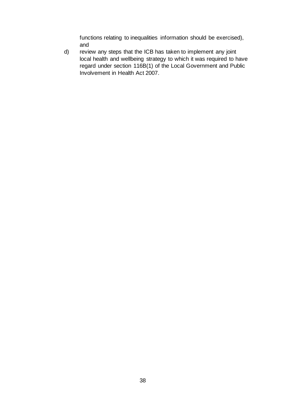functions relating to inequalities information should be exercised), and

d) review any steps that the ICB has taken to implement any joint local health and wellbeing strategy to which it was required to have regard under section 116B(1) of the Local Government and Public Involvement in Health Act 2007.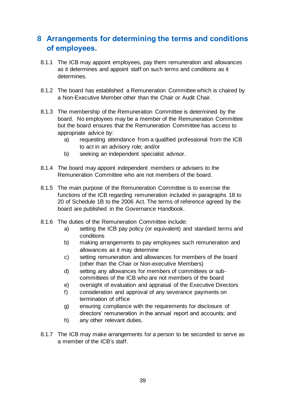# <span id="page-38-0"></span>**8 Arrangements for determining the terms and conditions of employees.**

- 8.1.1 The ICB may appoint employees, pay them remuneration and allowances as it determines and appoint staff on such terms and conditions as it determines.
- 8.1.2 The board has established a Remuneration Committee which is chaired by a Non-Executive Member other than the Chair or Audit Chair.
- 8.1.3 The membership of the Remuneration Committee is determined by the board. No employees may be a member of the Remuneration Committee but the board ensures that the Remuneration Committee has access to appropriate advice by:
	- a) requesting attendance from a qualified professional from the ICB to act in an advisory role; and/or
	- b) seeking an independent specialist advisor.
- 8.1.4 The board may appoint independent members or advisers to the Remuneration Committee who are not members of the board.
- 8.1.5 The main purpose of the Remuneration Committee is to exercise the functions of the ICB regarding remuneration included in paragraphs 18 to 20 of Schedule 1B to the 2006 Act. The terms of reference agreed by the board are published in the Governance Handbook.
- 8.1.6 The duties of the Remuneration Committee include:
	- a) setting the ICB pay policy (or equivalent) and standard terms and conditions
	- b) making arrangements to pay employees such remuneration and allowances as it may determine
	- c) setting remuneration and allowances for members of the board (other than the Chair or Non-executive Members)
	- d) setting any allowances for members of committees or subcommittees of the ICB who are not members of the board
	- e) oversight of evaluation and appraisal of the Executive Directors
	- f) consideration and approval of any severance payments on termination of office
	- g) ensuring compliance with the requirements for disclosure of directors' remuneration in the annual report and accounts; and
	- h) any other relevant duties.
- 8.1.7 The ICB may make arrangements for a person to be seconded to serve as a member of the ICB's staff.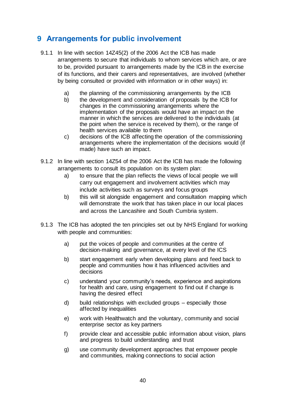# <span id="page-39-0"></span>**9 Arrangements for public involvement**

- 9.1.1 In line with section 14Z45(2) of the 2006 Act the ICB has made arrangements to secure that individuals to whom services which are, or are to be, provided pursuant to arrangements made by the ICB in the exercise of its functions, and their carers and representatives, are involved (whether by being consulted or provided with information or in other ways) in:
	- a) the planning of the commissioning arrangements by the ICB
	- b) the development and consideration of proposals by the ICB for changes in the commissioning arrangements where the implementation of the proposals would have an impact on the manner in which the services are delivered to the individuals (at the point when the service is received by them), or the range of health services available to them
	- c) decisions of the ICB affecting the operation of the commissioning arrangements where the implementation of the decisions would (if made) have such an impact.
- 9.1.2 In line with section 14Z54 of the 2006 Act the ICB has made the following arrangements to consult its population on its system plan:
	- a) to ensure that the plan reflects the views of local people we will carry out engagement and involvement activities which may include activities such as surveys and focus groups
	- b) this will sit alongside engagement and consultation mapping which will demonstrate the work that has taken place in our local places and across the Lancashire and South Cumbria system.
- 9.1.3 The ICB has adopted the ten principles set out by NHS England for working with people and communities:
	- a) put the voices of people and communities at the centre of decision-making and governance, at every level of the ICS
	- b) start engagement early when developing plans and feed back to people and communities how it has influenced activities and decisions
	- c) understand your community's needs, experience and aspirations for health and care, using engagement to find out if change is having the desired effect
	- d) build relationships with excluded groups especially those affected by inequalities
	- e) work with Healthwatch and the voluntary, community and social enterprise sector as key partners
	- f) provide clear and accessible public information about vision, plans and progress to build understanding and trust
	- g) use community development approaches that empower people and communities, making connections to social action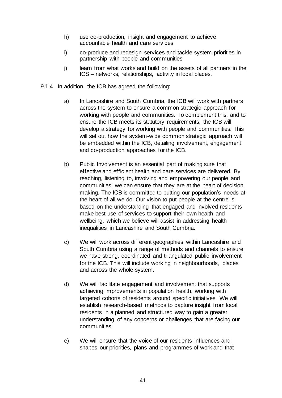- h) use co-production, insight and engagement to achieve accountable health and care services
- i) co-produce and redesign services and tackle system priorities in partnership with people and communities
- j) learn from what works and build on the assets of all partners in the ICS – networks, relationships, activity in local places.
- 9.1.4 In addition, the ICB has agreed the following:
	- a) In Lancashire and South Cumbria, the ICB will work with partners across the system to ensure a common strategic approach for working with people and communities. To complement this, and to ensure the ICB meets its statutory requirements, the ICB will develop a strategy for working with people and communities. This will set out how the system-wide common strategic approach will be embedded within the ICB, detailing involvement, engagement and co-production approaches for the ICB.
	- b) Public Involvement is an essential part of making sure that effective and efficient health and care services are delivered. By reaching, listening to, involving and empowering our people and communities, we can ensure that they are at the heart of decision making. The ICB is committed to putting our population's needs at the heart of all we do. Our vision to put people at the centre is based on the understanding that engaged and involved residents make best use of services to support their own health and wellbeing, which we believe will assist in addressing health inequalities in Lancashire and South Cumbria.
	- c) We will work across different geographies within Lancashire and South Cumbria using a range of methods and channels to ensure we have strong, coordinated and triangulated public involvement for the ICB. This will include working in neighbourhoods, places and across the whole system.
	- d) We will facilitate engagement and involvement that supports achieving improvements in population health, working with targeted cohorts of residents around specific initiatives. We will establish research-based methods to capture insight from local residents in a planned and structured way to gain a greater understanding of any concerns or challenges that are facing our communities.
	- e) We will ensure that the voice of our residents influences and shapes our priorities, plans and programmes of work and that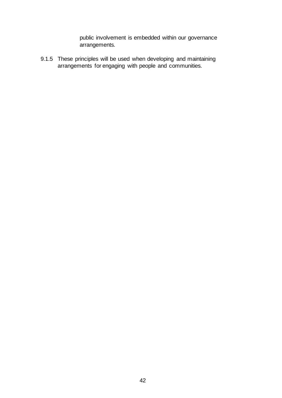public involvement is embedded within our governance arrangements.

9.1.5 These principles will be used when developing and maintaining arrangements for engaging with people and communities.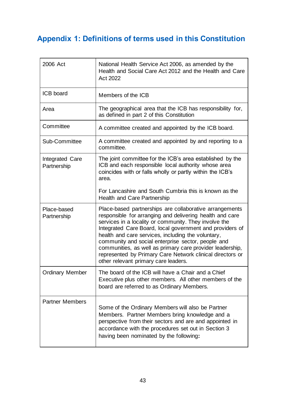# <span id="page-42-0"></span>**Appendix 1: Definitions of terms used in this Constitution**

| 2006 Act                       | National Health Service Act 2006, as amended by the<br>Health and Social Care Act 2012 and the Health and Care<br>Act 2022                                                                                                                                                                                                                                                                                                                                                                                             |
|--------------------------------|------------------------------------------------------------------------------------------------------------------------------------------------------------------------------------------------------------------------------------------------------------------------------------------------------------------------------------------------------------------------------------------------------------------------------------------------------------------------------------------------------------------------|
| <b>ICB</b> board               | Members of the ICB                                                                                                                                                                                                                                                                                                                                                                                                                                                                                                     |
| Area                           | The geographical area that the ICB has responsibility for,<br>as defined in part 2 of this Constitution                                                                                                                                                                                                                                                                                                                                                                                                                |
| Committee                      | A committee created and appointed by the ICB board.                                                                                                                                                                                                                                                                                                                                                                                                                                                                    |
| Sub-Committee                  | A committee created and appointed by and reporting to a<br>committee.                                                                                                                                                                                                                                                                                                                                                                                                                                                  |
| Integrated Care<br>Partnership | The joint committee for the ICB's area established by the<br>ICB and each responsible local authority whose area<br>coincides with or falls wholly or partly within the ICB's<br>area.                                                                                                                                                                                                                                                                                                                                 |
|                                | For Lancashire and South Cumbria this is known as the<br><b>Health and Care Partnership</b>                                                                                                                                                                                                                                                                                                                                                                                                                            |
| Place-based<br>Partnership     | Place-based partnerships are collaborative arrangements<br>responsible for arranging and delivering health and care<br>services in a locality or community. They involve the<br>Integrated Care Board, local government and providers of<br>health and care services, including the voluntary,<br>community and social enterprise sector, people and<br>communities, as well as primary care provider leadership,<br>represented by Primary Care Network clinical directors or<br>other relevant primary care leaders. |
| <b>Ordinary Member</b>         | The board of the ICB will have a Chair and a Chief<br>Executive plus other members. All other members of the<br>board are referred to as Ordinary Members.                                                                                                                                                                                                                                                                                                                                                             |
| <b>Partner Members</b>         | Some of the Ordinary Members will also be Partner<br>Members. Partner Members bring knowledge and a<br>perspective from their sectors and are and appointed in<br>accordance with the procedures set out in Section 3<br>having been nominated by the following:                                                                                                                                                                                                                                                       |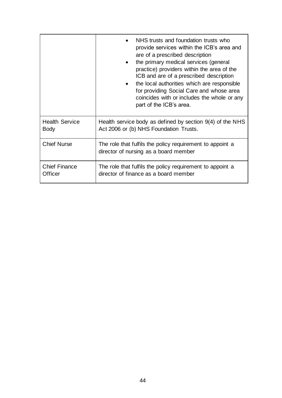|                       | NHS trusts and foundation trusts who<br>provide services within the ICB's area and<br>are of a prescribed description<br>the primary medical services (general<br>practice) providers within the area of the<br>ICB and are of a prescribed description<br>the local authorities which are responsible<br>for providing Social Care and whose area<br>coincides with or includes the whole or any<br>part of the ICB's area. |  |
|-----------------------|------------------------------------------------------------------------------------------------------------------------------------------------------------------------------------------------------------------------------------------------------------------------------------------------------------------------------------------------------------------------------------------------------------------------------|--|
| <b>Health Service</b> | Health service body as defined by section $9(4)$ of the NHS                                                                                                                                                                                                                                                                                                                                                                  |  |
| <b>Body</b>           | Act 2006 or (b) NHS Foundation Trusts.                                                                                                                                                                                                                                                                                                                                                                                       |  |
| <b>Chief Nurse</b>    | The role that fulfils the policy requirement to appoint a<br>director of nursing as a board member                                                                                                                                                                                                                                                                                                                           |  |
| <b>Chief Finance</b>  | The role that fulfils the policy requirement to appoint a                                                                                                                                                                                                                                                                                                                                                                    |  |
| Officer               | director of finance as a board member                                                                                                                                                                                                                                                                                                                                                                                        |  |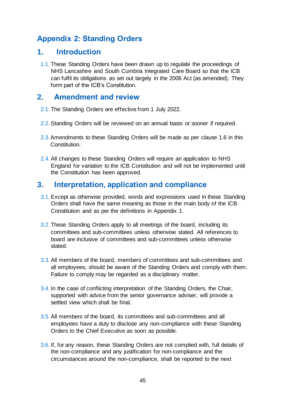# <span id="page-44-0"></span>**Appendix 2: Standing Orders**

### <span id="page-44-1"></span>**1. Introduction**

1.1. These Standing Orders have been drawn up to regulate the proceedings of NHS Lancashire and South Cumbria Integrated Care Board so that the ICB can fulfil its obligations as set out largely in the 2006 Act (as amended). They form part of the ICB's Constitution.

### <span id="page-44-2"></span>**2. Amendment and review**

- 2.1. The Standing Orders are effective from 1 July 2022.
- 2.2. Standing Orders will be reviewed on an annual basis or sooner if required.
- 2.3.Amendments to these Standing Orders will be made as per clause 1.6 in this Constitution.
- 2.4. All changes to these Standing Orders will require an application to NHS England for variation to the ICB Constitution and will not be implemented until the Constitution has been approved.

# <span id="page-44-3"></span>**3. Interpretation, application and compliance**

- 3.1. Except as otherwise provided, words and expressions used in these Standing Orders shall have the same meaning as those in the main body of the ICB Constitution and as per the definitions in Appendix 1.
- 3.2. These Standing Orders apply to all meetings of the board, including its committees and sub-committees unless otherwise stated. All references to board are inclusive of committees and sub-committees unless otherwise stated.
- 3.3. All members of the board, members of committees and sub-committees and all employees, should be aware of the Standing Orders and comply with them. Failure to comply may be regarded as a disciplinary matter.
- 3.4. In the case of conflicting interpretation of the Standing Orders, the Chair, supported with advice from the senior governance adviser, will provide a settled view which shall be final.
- 3.5. All members of the board, its committees and sub-committees and all employees have a duty to disclose any non-compliance with these Standing Orders to the Chief Executive as soon as possible.
- 3.6. If, for any reason, these Standing Orders are not complied with, full details of the non-compliance and any justification for non-compliance and the circumstances around the non-compliance, shall be reported to the next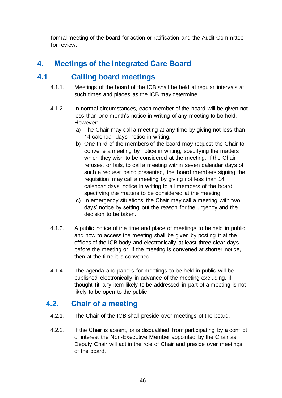formal meeting of the board for action or ratification and the Audit Committee for review.

# <span id="page-45-0"></span>**4. Meetings of the Integrated Care Board**

## **4.1 Calling board meetings**

- 4.1.1. Meetings of the board of the ICB shall be held at regular intervals at such times and places as the ICB may determine.
- 4.1.2. In normal circumstances, each member of the board will be given not less than one month's notice in writing of any meeting to be held. However:
	- a) The Chair may call a meeting at any time by giving not less than 14 calendar days' notice in writing.
	- b) One third of the members of the board may request the Chair to convene a meeting by notice in writing, specifying the matters which they wish to be considered at the meeting. If the Chair refuses, or fails, to call a meeting within seven calendar days of such a request being presented, the board members signing the requisition may call a meeting by giving not less than 14 calendar days' notice in writing to all members of the board specifying the matters to be considered at the meeting.
	- c) In emergency situations the Chair may call a meeting with two days' notice by setting out the reason for the urgency and the decision to be taken.
- 4.1.3. A public notice of the time and place of meetings to be held in public and how to access the meeting shall be given by posting it at the offices of the ICB body and electronically at least three clear days before the meeting or, if the meeting is convened at shorter notice, then at the time it is convened.
- 4.1.4. The agenda and papers for meetings to be held in public will be published electronically in advance of the meeting excluding, if thought fit, any item likely to be addressed in part of a meeting is not likely to be open to the public.

### **4.2. Chair of a meeting**

- 4.2.1. The Chair of the ICB shall preside over meetings of the board.
- 4.2.2. If the Chair is absent, or is disqualified from participating by a conflict of interest the Non-Executive Member appointed by the Chair as Deputy Chair will act in the role of Chair and preside over meetings of the board.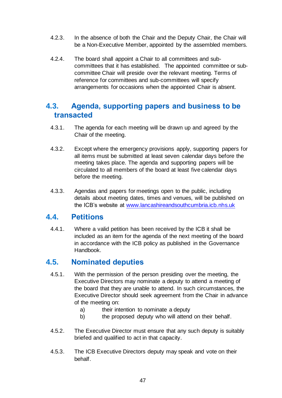- 4.2.3. In the absence of both the Chair and the Deputy Chair, the Chair will be a Non-Executive Member, appointed by the assembled members.
- 4.2.4. The board shall appoint a Chair to all committees and subcommittees that it has established. The appointed committee or subcommittee Chair will preside over the relevant meeting. Terms of reference for committees and sub-committees will specify arrangements for occasions when the appointed Chair is absent.

## **4.3. Agenda, supporting papers and business to be transacted**

- 4.3.1. The agenda for each meeting will be drawn up and agreed by the Chair of the meeting.
- 4.3.2. Except where the emergency provisions apply, supporting papers for all items must be submitted at least seven calendar days before the meeting takes place. The agenda and supporting papers will be circulated to all members of the board at least five calendar days before the meeting.
- 4.3.3. Agendas and papers for meetings open to the public, including details about meeting dates, times and venues, will be published on the ICB's website at [www.lancashireandsouthcumbria.icb.nhs.uk](http://www.lancashireandsouthcumbria.icb.nhs.uk/)

### **4.4. Petitions**

4.4.1. Where a valid petition has been received by the ICB it shall be included as an item for the agenda of the next meeting of the board in accordance with the ICB policy as published in the Governance Handbook.

## **4.5. Nominated deputies**

- 4.5.1. With the permission of the person presiding over the meeting, the Executive Directors may nominate a deputy to attend a meeting of the board that they are unable to attend. In such circumstances, the Executive Director should seek agreement from the Chair in advance of the meeting on:
	- a) their intention to nominate a deputy
	- b) the proposed deputy who will attend on their behalf.
- 4.5.2. The Executive Director must ensure that any such deputy is suitably briefed and qualified to act in that capacity.
- 4.5.3. The ICB Executive Directors deputy may speak and vote on their behalf.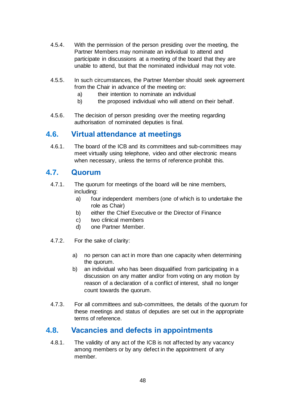- 4.5.4. With the permission of the person presiding over the meeting, the Partner Members may nominate an individual to attend and participate in discussions at a meeting of the board that they are unable to attend, but that the nominated individual may not vote.
- 4.5.5. In such circumstances, the Partner Member should seek agreement from the Chair in advance of the meeting on:
	- a) their intention to nominate an individual
	- b) the proposed individual who will attend on their behalf.
- 4.5.6. The decision of person presiding over the meeting regarding authorisation of nominated deputies is final.

### **4.6. Virtual attendance at meetings**

4.6.1. The board of the ICB and its committees and sub-committees may meet virtually using telephone, video and other electronic means when necessary, unless the terms of reference prohibit this.

### **4.7. Quorum**

- 4.7.1. The quorum for meetings of the board will be nine members, including:
	- a) four independent members (one of which is to undertake the role as Chair)
	- b) either the Chief Executive or the Director of Finance
	- c) two clinical members
	- d) one Partner Member.
- 4.7.2. For the sake of clarity:
	- a) no person can act in more than one capacity when determining the quorum.
	- b) an individual who has been disqualified from participating in a discussion on any matter and/or from voting on any motion by reason of a declaration of a conflict of interest, shall no longer count towards the quorum.
- 4.7.3. For all committees and sub-committees, the details of the quorum for these meetings and status of deputies are set out in the appropriate terms of reference.

### **4.8. Vacancies and defects in appointments**

4.8.1. The validity of any act of the ICB is not affected by any vacancy among members or by any defect in the appointment of any member.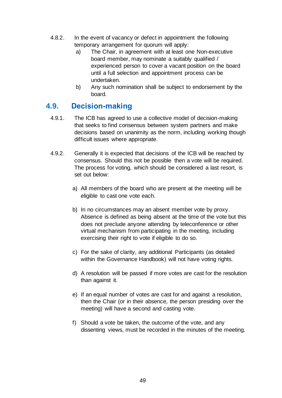- 4.8.2. In the event of vacancy or defect in appointment the following temporary arrangement for quorum will apply:
	- a) The Chair, in agreement with at least one Non-executive board member, may nominate a suitably qualified / experienced person to cover a vacant position on the board until a full selection and appointment process can be undertaken.
	- b) Any such nomination shall be subject to endorsement by the board.

## **4.9. Decision-making**

- 4.9.1. The ICB has agreed to use a collective model of decision-making that seeks to find consensus between system partners and make decisions based on unanimity as the norm, including working though difficult issues where appropriate.
- 4.9.2. Generally it is expected that decisions of the ICB will be reached by consensus. Should this not be possible then a vote will be required. The process for voting, which should be considered a last resort, is set out below:
	- a) All members of the board who are present at the meeting will be eligible to cast one vote each.
	- b) In no circumstances may an absent member vote by proxy. Absence is defined as being absent at the time of the vote but this does not preclude anyone attending by teleconference or other virtual mechanism from participating in the meeting, including exercising their right to vote if eligible to do so.
	- c) For the sake of clarity, any additional Participants (as detailed within the Governance Handbook) will not have voting rights.
	- d) A resolution will be passed if more votes are cast for the resolution than against it.
	- e) If an equal number of votes are cast for and against a resolution, then the Chair (or in their absence, the person presiding over the meeting) will have a second and casting vote.
	- f) Should a vote be taken, the outcome of the vote, and any dissenting views, must be recorded in the minutes of the meeting.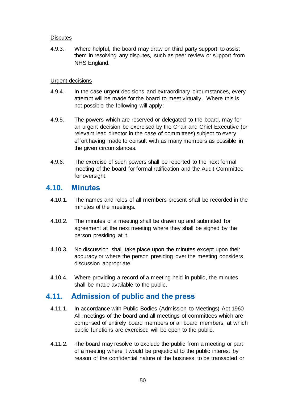#### **Disputes**

4.9.3. Where helpful, the board may draw on third party support to assist them in resolving any disputes, such as peer review or support from NHS England.

#### Urgent decisions

- 4.9.4. In the case urgent decisions and extraordinary circumstances, every attempt will be made for the board to meet virtually. Where this is not possible the following will apply:
- 4.9.5. The powers which are reserved or delegated to the board, may for an urgent decision be exercised by the Chair and Chief Executive (or relevant lead director in the case of committees) subject to every effort having made to consult with as many members as possible in the given circumstances.
- 4.9.6. The exercise of such powers shall be reported to the next formal meeting of the board for formal ratification and the Audit Committee for oversight.

#### **4.10. Minutes**

- 4.10.1. The names and roles of all members present shall be recorded in the minutes of the meetings.
- 4.10.2. The minutes of a meeting shall be drawn up and submitted for agreement at the next meeting where they shall be signed by the person presiding at it.
- 4.10.3. No discussion shall take place upon the minutes except upon their accuracy or where the person presiding over the meeting considers discussion appropriate.
- 4.10.4. Where providing a record of a meeting held in public, the minutes shall be made available to the public.

### **4.11. Admission of public and the press**

- 4.11.1. In accordance with Public Bodies (Admission to Meetings) Act 1960 All meetings of the board and all meetings of committees which are comprised of entirely board members or all board members, at which public functions are exercised will be open to the public.
- 4.11.2. The board may resolve to exclude the public from a meeting or part of a meeting where it would be prejudicial to the public interest by reason of the confidential nature of the business to be transacted or